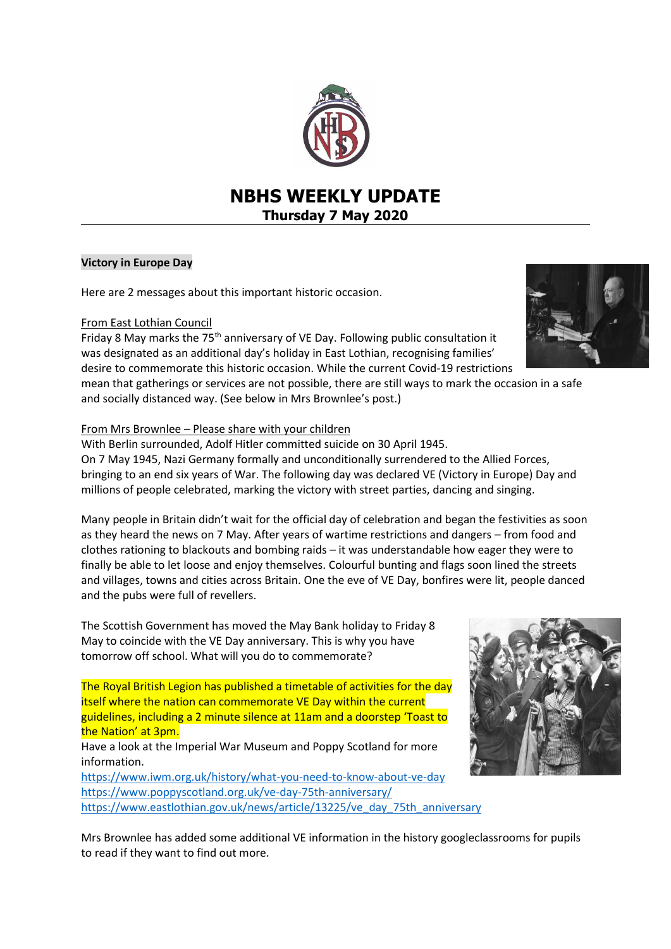

# **NBHS WEEKLY UPDATE Thursday 7 May 2020**

# **Victory in Europe Day**

Here are 2 messages about this important historic occasion.

# From East Lothian Council

Friday 8 May marks the  $75<sup>th</sup>$  anniversary of VE Day. Following public consultation it was designated as an additional day's holiday in East Lothian, recognising families' desire to commemorate this historic occasion. While the current Covid-19 restrictions

mean that gatherings or services are not possible, there are still ways to mark the occasion in a safe and socially distanced way. (See below in Mrs Brownlee's post.)

### From Mrs Brownlee – Please share with your children

With Berlin surrounded, Adolf Hitler committed suicide on 30 April 1945. On 7 May 1945, Nazi Germany formally and unconditionally surrendered to the Allied Forces, bringing to an end six years of War. The following day was declared VE (Victory in Europe) Day and millions of people celebrated, marking the victory with street parties, dancing and singing.

Many people in Britain didn't wait for the official day of celebration and began the festivities as soon as they heard the news on 7 May. After years of wartime restrictions and dangers – from food and clothes rationing to blackouts and bombing raids – it was understandable how eager they were to finally be able to let loose and enjoy themselves. Colourful bunting and flags soon lined the streets and villages, towns and cities across Britain. One the eve of VE Day, bonfires were lit, people danced and the pubs were full of revellers.

The Scottish Government has moved the May Bank holiday to Friday 8 May to coincide with the VE Day anniversary. This is why you have tomorrow off school. What will you do to commemorate?

The Royal British Legion has published a timetable of activities for the day itself where the nation can commemorate VE Day within the current guidelines, including a 2 minute silence at 11am and a doorstep 'Toast to the Nation' at 3pm.

Have a look at the Imperial War Museum and Poppy Scotland for more information.

<https://www.iwm.org.uk/history/what-you-need-to-know-about-ve-day> <https://www.poppyscotland.org.uk/ve-day-75th-anniversary/> [https://www.eastlothian.gov.uk/news/article/13225/ve\\_day\\_75th\\_anniversary](https://www.eastlothian.gov.uk/news/article/13225/ve_day_75th_anniversary)



Mrs Brownlee has added some additional VE information in the history googleclassrooms for pupils to read if they want to find out more.